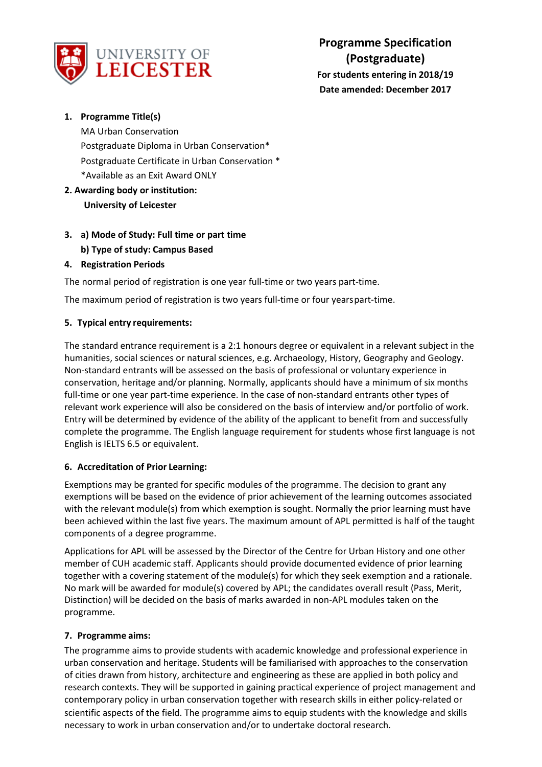

# **1. Programme Title(s)**

MA Urban Conservation Postgraduate Diploma in Urban Conservation\* Postgraduate Certificate in Urban Conservation \* \*Available as an Exit Award ONLY

- **2. Awarding body or institution: University of Leicester**
- **3. a) Mode of Study: Full time or part time b) Type of study: Campus Based**

# **4. Registration Periods**

The normal period of registration is one year full-time or two years part-time.

The maximum period of registration is two years full-time or four yearspart-time.

# **5. Typical entry requirements:**

The standard entrance requirement is a 2:1 honours degree or equivalent in a relevant subject in the humanities, social sciences or natural sciences, e.g. Archaeology, History, Geography and Geology. Non-standard entrants will be assessed on the basis of professional or voluntary experience in conservation, heritage and/or planning. Normally, applicants should have a minimum of six months full-time or one year part-time experience. In the case of non-standard entrants other types of relevant work experience will also be considered on the basis of interview and/or portfolio of work. Entry will be determined by evidence of the ability of the applicant to benefit from and successfully complete the programme. The English language requirement for students whose first language is not English is IELTS 6.5 or equivalent.

# **6. Accreditation of Prior Learning:**

Exemptions may be granted for specific modules of the programme. The decision to grant any exemptions will be based on the evidence of prior achievement of the learning outcomes associated with the relevant module(s) from which exemption is sought. Normally the prior learning must have been achieved within the last five years. The maximum amount of APL permitted is half of the taught components of a degree programme.

Applications for APL will be assessed by the Director of the Centre for Urban History and one other member of CUH academic staff. Applicants should provide documented evidence of prior learning together with a covering statement of the module(s) for which they seek exemption and a rationale. No mark will be awarded for module(s) covered by APL; the candidates overall result (Pass, Merit, Distinction) will be decided on the basis of marks awarded in non-APL modules taken on the programme.

# **7. Programme aims:**

The programme aims to provide students with academic knowledge and professional experience in urban conservation and heritage. Students will be familiarised with approaches to the conservation of cities drawn from history, architecture and engineering as these are applied in both policy and research contexts. They will be supported in gaining practical experience of project management and contemporary policy in urban conservation together with research skills in either policy-related or scientific aspects of the field. The programme aims to equip students with the knowledge and skills necessary to work in urban conservation and/or to undertake doctoral research.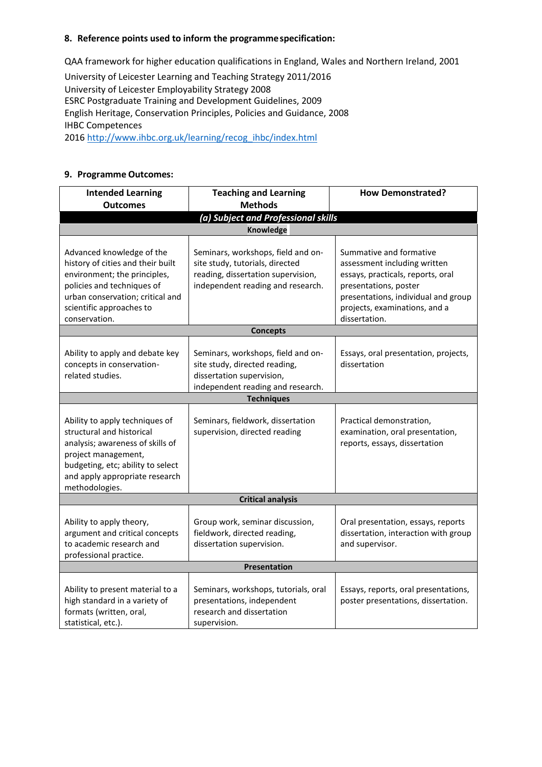#### **8. Reference points used to inform the programmespecification:**

QAA framework for higher education qualifications in England, Wales and Northern Ireland, 2001 University of Leicester Learning and Teaching Strategy 2011/2016 University of Leicester Employability Strategy 2008 ESRC Postgraduate Training and Development Guidelines, 2009 English Heritage, Conservation Principles, Policies and Guidance, 2008 IHBC Competences 201[6 http://www.ihbc.org.uk/learning/recog\\_ihbc/index.html](http://www.ihbc.org.uk/learning/recog_ihbc/index.html)

### **9. Programme Outcomes:**

| <b>Intended Learning</b>                                                                                                                                                                                        | <b>Teaching and Learning</b>                                                                                                                     | <b>How Demonstrated?</b>                                                                                                                                                                                       |  |  |
|-----------------------------------------------------------------------------------------------------------------------------------------------------------------------------------------------------------------|--------------------------------------------------------------------------------------------------------------------------------------------------|----------------------------------------------------------------------------------------------------------------------------------------------------------------------------------------------------------------|--|--|
| <b>Outcomes</b>                                                                                                                                                                                                 | <b>Methods</b>                                                                                                                                   |                                                                                                                                                                                                                |  |  |
|                                                                                                                                                                                                                 | (a) Subject and Professional skills                                                                                                              |                                                                                                                                                                                                                |  |  |
|                                                                                                                                                                                                                 | Knowledge                                                                                                                                        |                                                                                                                                                                                                                |  |  |
| Advanced knowledge of the<br>history of cities and their built<br>environment; the principles,<br>policies and techniques of<br>urban conservation; critical and<br>scientific approaches to<br>conservation.   | Seminars, workshops, field and on-<br>site study, tutorials, directed<br>reading, dissertation supervision,<br>independent reading and research. | Summative and formative<br>assessment including written<br>essays, practicals, reports, oral<br>presentations, poster<br>presentations, individual and group<br>projects, examinations, and a<br>dissertation. |  |  |
| <b>Concepts</b>                                                                                                                                                                                                 |                                                                                                                                                  |                                                                                                                                                                                                                |  |  |
| Ability to apply and debate key<br>concepts in conservation-<br>related studies.                                                                                                                                | Seminars, workshops, field and on-<br>site study, directed reading,<br>dissertation supervision,<br>independent reading and research.            | Essays, oral presentation, projects,<br>dissertation                                                                                                                                                           |  |  |
|                                                                                                                                                                                                                 | <b>Techniques</b>                                                                                                                                |                                                                                                                                                                                                                |  |  |
| Ability to apply techniques of<br>structural and historical<br>analysis; awareness of skills of<br>project management,<br>budgeting, etc; ability to select<br>and apply appropriate research<br>methodologies. | Seminars, fieldwork, dissertation<br>supervision, directed reading                                                                               | Practical demonstration,<br>examination, oral presentation,<br>reports, essays, dissertation                                                                                                                   |  |  |
|                                                                                                                                                                                                                 | <b>Critical analysis</b>                                                                                                                         |                                                                                                                                                                                                                |  |  |
| Ability to apply theory,<br>argument and critical concepts<br>to academic research and<br>professional practice.                                                                                                | Group work, seminar discussion,<br>fieldwork, directed reading,<br>dissertation supervision.                                                     | Oral presentation, essays, reports<br>dissertation, interaction with group<br>and supervisor.                                                                                                                  |  |  |
| Presentation                                                                                                                                                                                                    |                                                                                                                                                  |                                                                                                                                                                                                                |  |  |
| Ability to present material to a<br>high standard in a variety of<br>formats (written, oral,<br>statistical, etc.).                                                                                             | Seminars, workshops, tutorials, oral<br>presentations, independent<br>research and dissertation<br>supervision.                                  | Essays, reports, oral presentations,<br>poster presentations, dissertation.                                                                                                                                    |  |  |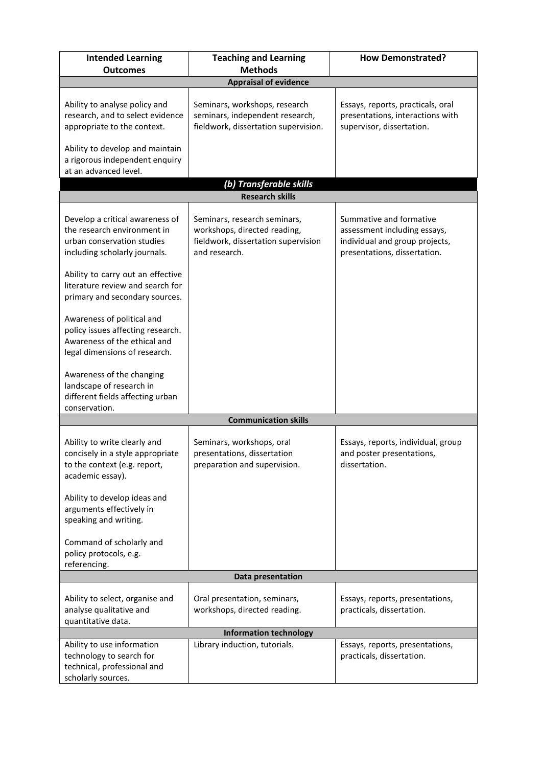| <b>Intended Learning</b>                                                                                                         | <b>Teaching and Learning</b>                                                                                         | <b>How Demonstrated?</b>                                                                                                  |  |  |
|----------------------------------------------------------------------------------------------------------------------------------|----------------------------------------------------------------------------------------------------------------------|---------------------------------------------------------------------------------------------------------------------------|--|--|
| <b>Outcomes</b>                                                                                                                  | <b>Methods</b>                                                                                                       |                                                                                                                           |  |  |
|                                                                                                                                  | <b>Appraisal of evidence</b>                                                                                         |                                                                                                                           |  |  |
| Ability to analyse policy and<br>research, and to select evidence<br>appropriate to the context.                                 | Seminars, workshops, research<br>seminars, independent research,<br>fieldwork, dissertation supervision.             | Essays, reports, practicals, oral<br>presentations, interactions with<br>supervisor, dissertation.                        |  |  |
| Ability to develop and maintain<br>a rigorous independent enquiry<br>at an advanced level.                                       |                                                                                                                      |                                                                                                                           |  |  |
| (b) Transferable skills                                                                                                          |                                                                                                                      |                                                                                                                           |  |  |
|                                                                                                                                  | <b>Research skills</b>                                                                                               |                                                                                                                           |  |  |
| Develop a critical awareness of<br>the research environment in<br>urban conservation studies<br>including scholarly journals.    | Seminars, research seminars,<br>workshops, directed reading,<br>fieldwork, dissertation supervision<br>and research. | Summative and formative<br>assessment including essays,<br>individual and group projects,<br>presentations, dissertation. |  |  |
| Ability to carry out an effective<br>literature review and search for<br>primary and secondary sources.                          |                                                                                                                      |                                                                                                                           |  |  |
| Awareness of political and<br>policy issues affecting research.<br>Awareness of the ethical and<br>legal dimensions of research. |                                                                                                                      |                                                                                                                           |  |  |
| Awareness of the changing<br>landscape of research in<br>different fields affecting urban<br>conservation.                       |                                                                                                                      |                                                                                                                           |  |  |
|                                                                                                                                  | <b>Communication skills</b>                                                                                          |                                                                                                                           |  |  |
| Ability to write clearly and<br>concisely in a style appropriate<br>to the context (e.g. report,<br>academic essay).             | Seminars, workshops, oral<br>presentations, dissertation<br>preparation and supervision.                             | Essays, reports, individual, group<br>and poster presentations,<br>dissertation.                                          |  |  |
| Ability to develop ideas and<br>arguments effectively in<br>speaking and writing.                                                |                                                                                                                      |                                                                                                                           |  |  |
| Command of scholarly and<br>policy protocols, e.g.<br>referencing.                                                               |                                                                                                                      |                                                                                                                           |  |  |
| Data presentation                                                                                                                |                                                                                                                      |                                                                                                                           |  |  |
| Ability to select, organise and<br>analyse qualitative and<br>quantitative data.                                                 | Oral presentation, seminars,<br>workshops, directed reading.                                                         | Essays, reports, presentations,<br>practicals, dissertation.                                                              |  |  |
|                                                                                                                                  | <b>Information technology</b>                                                                                        |                                                                                                                           |  |  |
| Ability to use information<br>technology to search for<br>technical, professional and<br>scholarly sources.                      | Library induction, tutorials.                                                                                        | Essays, reports, presentations,<br>practicals, dissertation.                                                              |  |  |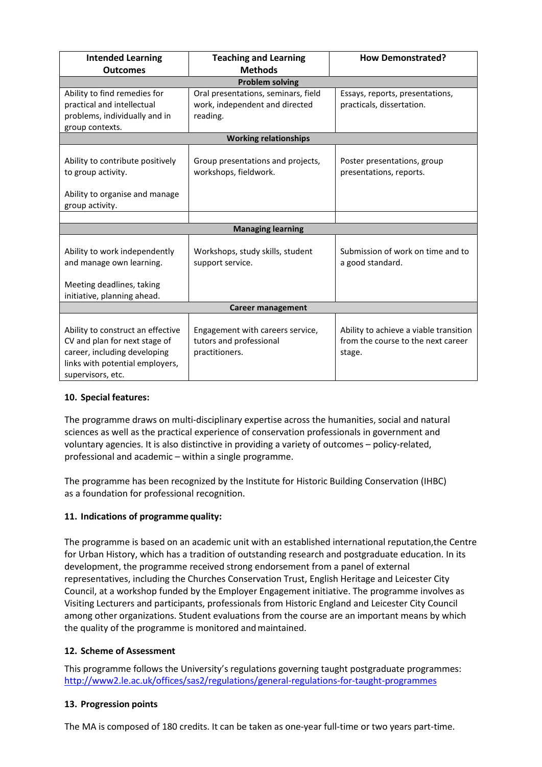| <b>Intended Learning</b>                                                                                                                                   | <b>Teaching and Learning</b>                                                  | <b>How Demonstrated?</b>                                                               |  |  |
|------------------------------------------------------------------------------------------------------------------------------------------------------------|-------------------------------------------------------------------------------|----------------------------------------------------------------------------------------|--|--|
| <b>Outcomes</b>                                                                                                                                            | <b>Methods</b>                                                                |                                                                                        |  |  |
| <b>Problem solving</b>                                                                                                                                     |                                                                               |                                                                                        |  |  |
| Ability to find remedies for                                                                                                                               | Oral presentations, seminars, field                                           | Essays, reports, presentations,                                                        |  |  |
| practical and intellectual                                                                                                                                 | work, independent and directed                                                | practicals, dissertation.                                                              |  |  |
| problems, individually and in                                                                                                                              | reading.                                                                      |                                                                                        |  |  |
| group contexts.                                                                                                                                            |                                                                               |                                                                                        |  |  |
| <b>Working relationships</b>                                                                                                                               |                                                                               |                                                                                        |  |  |
| Ability to contribute positively<br>to group activity.                                                                                                     | Group presentations and projects,<br>workshops, fieldwork.                    | Poster presentations, group<br>presentations, reports.                                 |  |  |
| Ability to organise and manage<br>group activity.                                                                                                          |                                                                               |                                                                                        |  |  |
|                                                                                                                                                            |                                                                               |                                                                                        |  |  |
| <b>Managing learning</b>                                                                                                                                   |                                                                               |                                                                                        |  |  |
| Ability to work independently<br>and manage own learning.                                                                                                  | Workshops, study skills, student<br>support service.                          | Submission of work on time and to<br>a good standard.                                  |  |  |
| Meeting deadlines, taking                                                                                                                                  |                                                                               |                                                                                        |  |  |
| initiative, planning ahead.                                                                                                                                |                                                                               |                                                                                        |  |  |
| <b>Career management</b>                                                                                                                                   |                                                                               |                                                                                        |  |  |
| Ability to construct an effective<br>CV and plan for next stage of<br>career, including developing<br>links with potential employers,<br>supervisors, etc. | Engagement with careers service,<br>tutors and professional<br>practitioners. | Ability to achieve a viable transition<br>from the course to the next career<br>stage. |  |  |

# **10. Special features:**

The programme draws on multi-disciplinary expertise across the humanities, social and natural sciences as well as the practical experience of conservation professionals in government and voluntary agencies. It is also distinctive in providing a variety of outcomes – policy-related, professional and academic – within a single programme.

The programme has been recognized by the Institute for Historic Building Conservation (IHBC) as a foundation for professional recognition.

# **11. Indications of programme quality:**

The programme is based on an academic unit with an established international reputation,the Centre for Urban History, which has a tradition of outstanding research and postgraduate education. In its development, the programme received strong endorsement from a panel of external representatives, including the Churches Conservation Trust, English Heritage and Leicester City Council, at a workshop funded by the Employer Engagement initiative. The programme involves as Visiting Lecturers and participants, professionals from Historic England and Leicester City Council among other organizations. Student evaluations from the course are an important means by which the quality of the programme is monitored and maintained.

# **12. Scheme of Assessment**

This programme follows the University's regulations governing taught postgraduate programmes: <http://www2.le.ac.uk/offices/sas2/regulations/general-regulations-for-taught-programmes>

# **13. Progression points**

The MA is composed of 180 credits. It can be taken as one-year full-time or two years part-time.